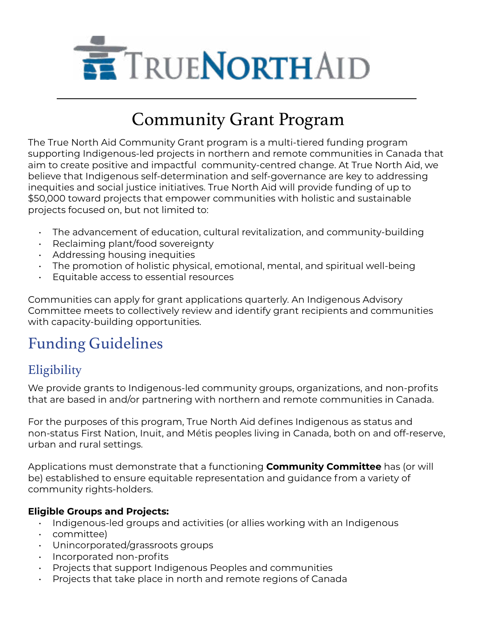

# Community Grant Program

The True North Aid Community Grant program is a multi-tiered funding program supporting Indigenous-led projects in northern and remote communities in Canada that aim to create positive and impactful community-centred change. At True North Aid, we believe that Indigenous self-determination and self-governance are key to addressing inequities and social justice initiatives. True North Aid will provide funding of up to \$50,000 toward projects that empower communities with holistic and sustainable projects focused on, but not limited to:

- The advancement of education, cultural revitalization, and community-building
- Reclaiming plant/food sovereignty
- Addressing housing inequities
- The promotion of holistic physical, emotional, mental, and spiritual well-being
- Equitable access to essential resources

Communities can apply for grant applications quarterly. An Indigenous Advisory Committee meets to collectively review and identify grant recipients and communities with capacity-building opportunities.

# Funding Guidelines

### **Eligibility**

We provide grants to Indigenous-led community groups, organizations, and non-profits that are based in and/or partnering with northern and remote communities in Canada.

For the purposes of this program, True North Aid defines Indigenous as status and non-status First Nation, Inuit, and Métis peoples living in Canada, both on and off-reserve, urban and rural settings.

Applications must demonstrate that a functioning **[Community Committee](#page-3-0)** has (or will be) established to ensure equitable representation and guidance from a variety of community rights-holders.

#### **Eligible Groups and Projects:**

- Indigenous-led groups and activities (or allies working with an Indigenous
- committee)
- Unincorporated/grassroots groups
- Incorporated non-profits
- Projects that support Indigenous Peoples and communities
- Projects that take place in north and remote regions of Canada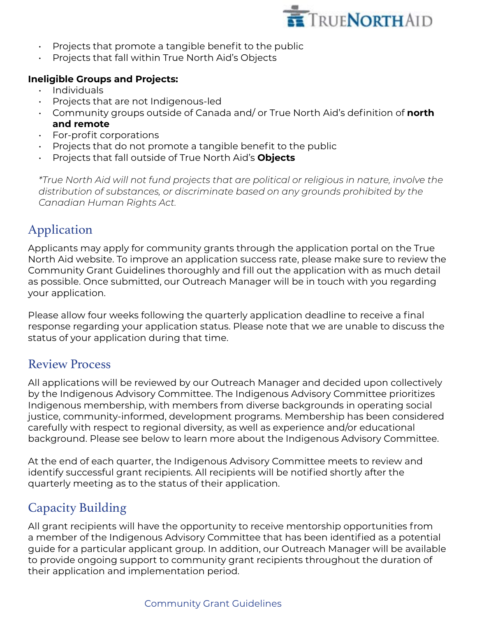

- $\cdot$  Projects that promote a tangible benefit to the public
- Projects that fall within True North Aid's Objects

#### **Ineligible Groups and Projects:**

- Individuals
- Projects that are not Indigenous-led
- Community groups outside of Canada and/ or True North Aid's definition of **[north](#page-3-0)  [and remote](#page-3-0)**
- For-profit corporations
- Projects that do not promote a tangible benefit to the public
- Projects that fall outside of True North Aid's **[Objects](#page-3-0)**

*\*True North Aid will not fund projects that are political or religious in nature, involve the distribution of substances, or discriminate based on any grounds prohibited by the [Canadian Human Rights Act.](https://laws-lois.justice.gc.ca/eng/acts/h-6/page-1.html)*

# Application

Applicants may apply for community grants through the application portal on the True North Aid website. To improve an application success rate, please make sure to review the Community Grant Guidelines thoroughly and fill out the application with as much detail as possible. Once submitted, our Outreach Manager will be in touch with you regarding your application.

Please allow four weeks following the quarterly application deadline to receive a final response regarding your application status. Please note that we are unable to discuss the status of your application during that time.

### Review Process

All applications will be reviewed by our Outreach Manager and decided upon collectively by the Indigenous Advisory Committee. The Indigenous Advisory Committee prioritizes Indigenous membership, with members from diverse backgrounds in operating social justice, community-informed, development programs. Membership has been considered carefully with respect to regional diversity, as well as experience and/or educational background. Please see below to learn more about the Indigenous Advisory Committee.

At the end of each quarter, the Indigenous Advisory Committee meets to review and identify successful grant recipients. All recipients will be notified shortly after the quarterly meeting as to the status of their application.

# Capacity Building

All grant recipients will have the opportunity to receive mentorship opportunities from a member of the Indigenous Advisory Committee that has been identified as a potential guide for a particular applicant group. In addition, our Outreach Manager will be available to provide ongoing support to community grant recipients throughout the duration of their application and implementation period.

#### Community Grant Guidelines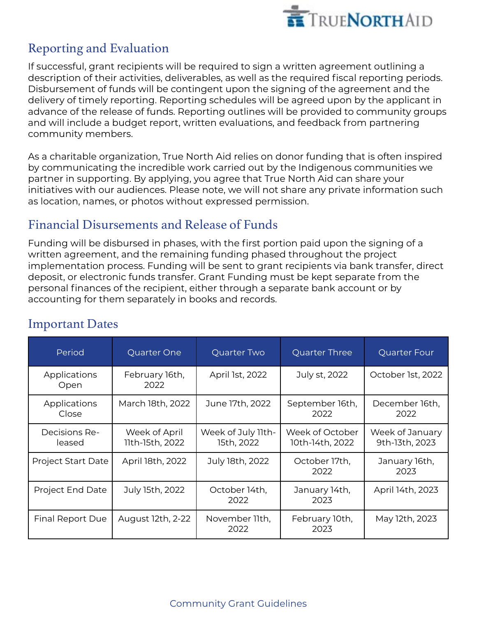

# Reporting and Evaluation

If successful, grant recipients will be required to sign a written agreement outlining a description of their activities, deliverables, as well as the required fiscal reporting periods. Disbursement of funds will be contingent upon the signing of the agreement and the delivery of timely reporting. Reporting schedules will be agreed upon by the applicant in advance of the release of funds. Reporting outlines will be provided to community groups and will include a budget report, written evaluations, and feedback from partnering community members.

As a charitable organization, True North Aid relies on donor funding that is often inspired by communicating the incredible work carried out by the Indigenous communities we partner in supporting. By applying, you agree that True North Aid can share your initiatives with our audiences. Please note, we will not share any private information such as location, names, or photos without expressed permission.

### Financial Disursements and Release of Funds

Funding will be disbursed in phases, with the first portion paid upon the signing of a written agreement, and the remaining funding phased throughout the project implementation process. Funding will be sent to grant recipients via bank transfer, direct deposit, or electronic funds transfer. Grant Funding must be kept separate from the personal finances of the recipient, either through a separate bank account or by accounting for them separately in books and records.

| Period                    | Quarter One                      | Quarter Two                      | Quarter Three                      | Quarter Four                      |
|---------------------------|----------------------------------|----------------------------------|------------------------------------|-----------------------------------|
| Applications<br>Open      | February 16th,<br>2022           | April 1st, 2022                  | July st, 2022                      | October 1st, 2022                 |
| Applications<br>Close     | March 18th, 2022                 | June 17th, 2022                  | September 16th,<br>2022            | December 16th,<br>2022            |
| Decisions Re-<br>leased   | Week of April<br>11th-15th, 2022 | Week of July 11th-<br>15th, 2022 | Week of October<br>10th-14th, 2022 | Week of January<br>9th-13th, 2023 |
| <b>Project Start Date</b> | April 18th, 2022                 | July 18th, 2022                  | October 17th,<br>2022              | January 16th,<br>2023             |
| Project End Date          | July 15th, 2022                  | October 14th,<br>2022            | January 14th,<br>2023              | April 14th, 2023                  |
| Final Report Due          | August 12th, 2-22                | November 11th,<br>2022           | February 10th,<br>2023             | May 12th, 2023                    |

# Important Dates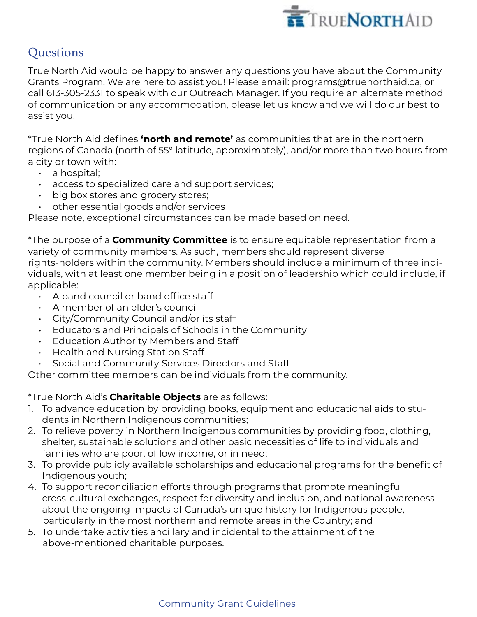

# **Questions**

True North Aid would be happy to answer any questions you have about the Community Grants Program. We are here to assist you! Please email: programs@truenorthaid.ca, or call 613-305-2331 to speak with our Outreach Manager. If you require an alternate method of communication or any accommodation, please let us know and we will do our best to assist you.

<span id="page-3-0"></span>\*True North Aid defines **'north and remote'** as communities that are in the northern regions of Canada (north of 55° latitude, approximately), and/or more than two hours from a city or town with:

- a hospital;
- access to specialized care and support services;
- big box stores and grocery stores;
- other essential goods and/or services

Please note, exceptional circumstances can be made based on need.

\*The purpose of a **Community Committee** is to ensure equitable representation from a variety of community members. As such, members should represent diverse rights-holders within the community. Members should include a minimum of three individuals, with at least one member being in a position of leadership which could include, if applicable:

- A band council or band office staff
- A member of an elder's council
- City/Community Council and/or its staff
- Educators and Principals of Schools in the Community
- Education Authority Members and Staff
- Health and Nursing Station Staff
- Social and Community Services Directors and Staff

Other committee members can be individuals from the community.

\*True North Aid's **Charitable Objects** are as follows:

- 1. To advance education by providing books, equipment and educational aids to students in Northern Indigenous communities;
- 2. To relieve poverty in Northern Indigenous communities by providing food, clothing, shelter, sustainable solutions and other basic necessities of life to individuals and families who are poor, of low income, or in need;
- 3. To provide publicly available scholarships and educational programs for the benefit of Indigenous youth;
- 4. To support reconciliation efforts through programs that promote meaningful cross-cultural exchanges, respect for diversity and inclusion, and national awareness about the ongoing impacts of Canada's unique history for Indigenous people, particularly in the most northern and remote areas in the Country; and
- 5. To undertake activities ancillary and incidental to the attainment of the above-mentioned charitable purposes.